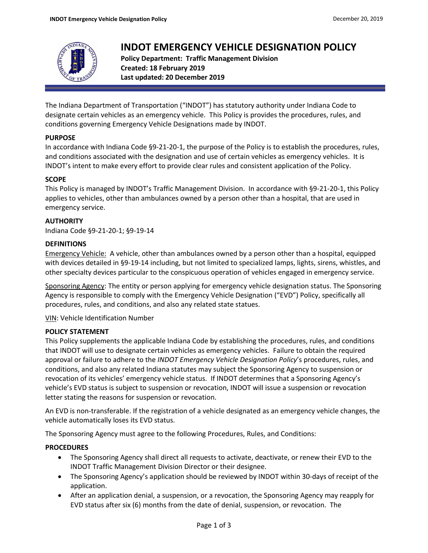

# **INDOT EMERGENCY VEHICLE DESIGNATION POLICY**

**Policy Department: Traffic Management Division Created: 18 February 2019 Last updated: 20 December 2019**

The Indiana Department of Transportation ("INDOT") has statutory authority under Indiana Code to designate certain vehicles as an emergency vehicle. This Policy is provides the procedures, rules, and conditions governing Emergency Vehicle Designations made by INDOT.

# **PURPOSE**

In accordance with Indiana Code §9-21-20-1, the purpose of the Policy is to establish the procedures, rules, and conditions associated with the designation and use of certain vehicles as emergency vehicles. It is INDOT's intent to make every effort to provide clear rules and consistent application of the Policy.

# **SCOPE**

This Policy is managed by INDOT's Traffic Management Division. In accordance with §9-21-20-1, this Policy applies to vehicles, other than ambulances owned by a person other than a hospital, that are used in emergency service.

# **AUTHORITY**

Indiana Code §9-21-20-1; §9-19-14

#### **DEFINITIONS**

Emergency Vehicle: A vehicle, other than ambulances owned by a person other than a hospital, equipped with devices detailed in §9-19-14 including, but not limited to specialized lamps, lights, sirens, whistles, and other specialty devices particular to the conspicuous operation of vehicles engaged in emergency service.

Sponsoring Agency: The entity or person applying for emergency vehicle designation status. The Sponsoring Agency is responsible to comply with the Emergency Vehicle Designation ("EVD") Policy, specifically all procedures, rules, and conditions, and also any related state statues.

VIN: Vehicle Identification Number

# **POLICY STATEMENT**

This Policy supplements the applicable Indiana Code by establishing the procedures, rules, and conditions that INDOT will use to designate certain vehicles as emergency vehicles. Failure to obtain the required approval or failure to adhere to the *INDOT Emergency Vehicle Designation Policy*'s procedures, rules, and conditions, and also any related Indiana statutes may subject the Sponsoring Agency to suspension or revocation of its vehicles' emergency vehicle status. If INDOT determines that a Sponsoring Agency's vehicle's EVD status is subject to suspension or revocation, INDOT will issue a suspension or revocation letter stating the reasons for suspension or revocation.

An EVD is non-transferable. If the registration of a vehicle designated as an emergency vehicle changes, the vehicle automatically loses its EVD status.

The Sponsoring Agency must agree to the following Procedures, Rules, and Conditions:

# **PROCEDURES**

- The Sponsoring Agency shall direct all requests to activate, deactivate, or renew their EVD to the INDOT Traffic Management Division Director or their designee.
- The Sponsoring Agency's application should be reviewed by INDOT within 30-days of receipt of the application.
- After an application denial, a suspension, or a revocation, the Sponsoring Agency may reapply for EVD status after six (6) months from the date of denial, suspension, or revocation. The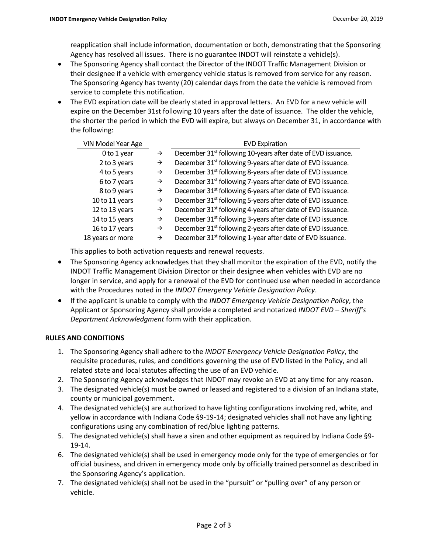reapplication shall include information, documentation or both, demonstrating that the Sponsoring Agency has resolved all issues. There is no guarantee INDOT will reinstate a vehicle(s).

- The Sponsoring Agency shall contact the Director of the INDOT Traffic Management Division or their designee if a vehicle with emergency vehicle status is removed from service for any reason. The Sponsoring Agency has twenty (20) calendar days from the date the vehicle is removed from service to complete this notification.
- The EVD expiration date will be clearly stated in approval letters. An EVD for a new vehicle will expire on the December 31st following 10 years after the date of issuance. The older the vehicle, the shorter the period in which the EVD will expire, but always on December 31, in accordance with the following:

| VIN Model Year Age |               | <b>EVD Expiration</b>                                                    |
|--------------------|---------------|--------------------------------------------------------------------------|
| 0 to 1 year        | $\rightarrow$ | December 31 <sup>st</sup> following 10-years after date of EVD issuance. |
| 2 to 3 years       | $\rightarrow$ | December 31 <sup>st</sup> following 9-years after date of EVD issuance.  |
| 4 to 5 years       | $\rightarrow$ | December 31 <sup>st</sup> following 8-years after date of EVD issuance.  |
| 6 to 7 years       | $\rightarrow$ | December 31 <sup>st</sup> following 7-years after date of EVD issuance.  |
| 8 to 9 years       | $\rightarrow$ | December 31 <sup>st</sup> following 6-years after date of EVD issuance.  |
| 10 to 11 years     | $\rightarrow$ | December 31 <sup>st</sup> following 5-years after date of EVD issuance.  |
| 12 to 13 years     | $\rightarrow$ | December 31 <sup>st</sup> following 4-years after date of EVD issuance.  |
| 14 to 15 years     | $\rightarrow$ | December 31 <sup>st</sup> following 3-years after date of EVD issuance.  |
| 16 to 17 years     | $\rightarrow$ | December 31 <sup>st</sup> following 2-years after date of EVD issuance.  |
| 18 years or more   | $\rightarrow$ | December 31 <sup>st</sup> following 1-year after date of EVD issuance.   |

This applies to both activation requests and renewal requests.

- The Sponsoring Agency acknowledges that they shall monitor the expiration of the EVD, notify the INDOT Traffic Management Division Director or their designee when vehicles with EVD are no longer in service, and apply for a renewal of the EVD for continued use when needed in accordance with the Procedures noted in the *INDOT Emergency Vehicle Designation Policy*.
- If the applicant is unable to comply with the *INDOT Emergency Vehicle Designation Policy*, the Applicant or Sponsoring Agency shall provide a completed and notarized *INDOT EVD – Sheriff's Department Acknowledgment* form with their application.

#### **RULES AND CONDITIONS**

- 1. The Sponsoring Agency shall adhere to the *INDOT Emergency Vehicle Designation Policy*, the requisite procedures, rules, and conditions governing the use of EVD listed in the Policy, and all related state and local statutes affecting the use of an EVD vehicle.
- 2. The Sponsoring Agency acknowledges that INDOT may revoke an EVD at any time for any reason.
- 3. The designated vehicle(s) must be owned or leased and registered to a division of an Indiana state, county or municipal government.
- 4. The designated vehicle(s) are authorized to have lighting configurations involving red, white, and yellow in accordance with Indiana Code §9-19-14; designated vehicles shall not have any lighting configurations using any combination of red/blue lighting patterns.
- 5. The designated vehicle(s) shall have a siren and other equipment as required by Indiana Code §9- 19-14.
- 6. The designated vehicle(s) shall be used in emergency mode only for the type of emergencies or for official business, and driven in emergency mode only by officially trained personnel as described in the Sponsoring Agency's application.
- 7. The designated vehicle(s) shall not be used in the "pursuit" or "pulling over" of any person or vehicle.